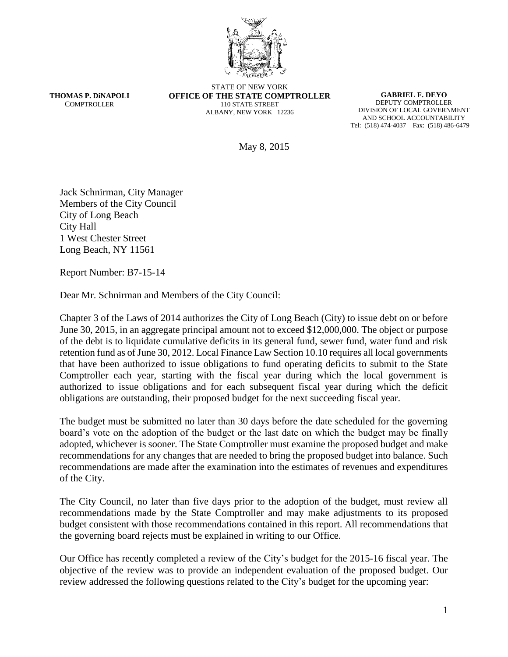

**THOMAS P. DiNAPOLI COMPTROLLER** 

STATE OF NEW YORK **OFFICE OF THE STATE COMPTROLLER** 110 STATE STREET ALBANY, NEW YORK 12236

**GABRIEL F. DEYO** DEPUTY COMPTROLLER DIVISION OF LOCAL GOVERNMENT AND SCHOOL ACCOUNTABILITY Tel: (518) 474-4037 Fax: (518) 486-6479

May 8, 2015

Jack Schnirman, City Manager Members of the City Council City of Long Beach City Hall 1 West Chester Street Long Beach, NY 11561

Report Number: B7-15-14

Dear Mr. Schnirman and Members of the City Council:

Chapter 3 of the Laws of 2014 authorizes the City of Long Beach (City) to issue debt on or before June 30, 2015, in an aggregate principal amount not to exceed \$12,000,000. The object or purpose of the debt is to liquidate cumulative deficits in its general fund, sewer fund, water fund and risk retention fund as of June 30, 2012. Local Finance Law Section 10.10 requires all local governments that have been authorized to issue obligations to fund operating deficits to submit to the State Comptroller each year, starting with the fiscal year during which the local government is authorized to issue obligations and for each subsequent fiscal year during which the deficit obligations are outstanding, their proposed budget for the next succeeding fiscal year.

The budget must be submitted no later than 30 days before the date scheduled for the governing board's vote on the adoption of the budget or the last date on which the budget may be finally adopted, whichever is sooner. The State Comptroller must examine the proposed budget and make recommendations for any changes that are needed to bring the proposed budget into balance. Such recommendations are made after the examination into the estimates of revenues and expenditures of the City.

The City Council, no later than five days prior to the adoption of the budget, must review all recommendations made by the State Comptroller and may make adjustments to its proposed budget consistent with those recommendations contained in this report. All recommendations that the governing board rejects must be explained in writing to our Office.

Our Office has recently completed a review of the City's budget for the 2015-16 fiscal year. The objective of the review was to provide an independent evaluation of the proposed budget. Our review addressed the following questions related to the City's budget for the upcoming year: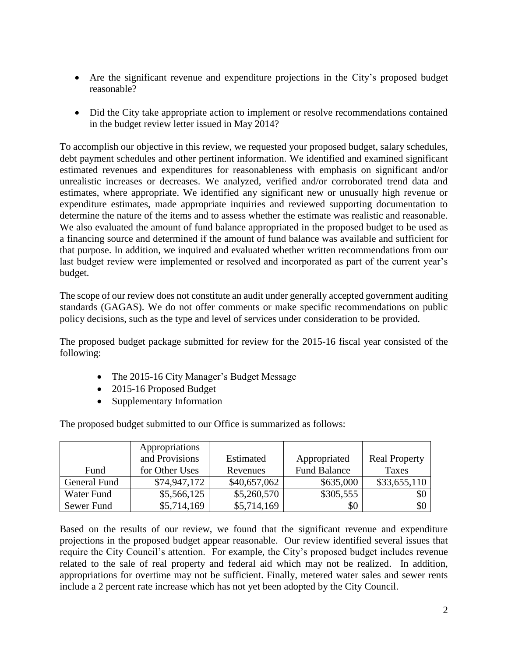- Are the significant revenue and expenditure projections in the City's proposed budget reasonable?
- Did the City take appropriate action to implement or resolve recommendations contained in the budget review letter issued in May 2014?

To accomplish our objective in this review, we requested your proposed budget, salary schedules, debt payment schedules and other pertinent information. We identified and examined significant estimated revenues and expenditures for reasonableness with emphasis on significant and/or unrealistic increases or decreases. We analyzed, verified and/or corroborated trend data and estimates, where appropriate. We identified any significant new or unusually high revenue or expenditure estimates, made appropriate inquiries and reviewed supporting documentation to determine the nature of the items and to assess whether the estimate was realistic and reasonable. We also evaluated the amount of fund balance appropriated in the proposed budget to be used as a financing source and determined if the amount of fund balance was available and sufficient for that purpose. In addition, we inquired and evaluated whether written recommendations from our last budget review were implemented or resolved and incorporated as part of the current year's budget.

The scope of our review does not constitute an audit under generally accepted government auditing standards (GAGAS). We do not offer comments or make specific recommendations on public policy decisions, such as the type and level of services under consideration to be provided.

The proposed budget package submitted for review for the 2015-16 fiscal year consisted of the following:

- The 2015-16 City Manager's Budget Message
- 2015-16 Proposed Budget
- Supplementary Information

|              | Appropriations<br>and Provisions | Estimated    | Appropriated        | <b>Real Property</b> |
|--------------|----------------------------------|--------------|---------------------|----------------------|
| Fund         | for Other Uses                   | Revenues     | <b>Fund Balance</b> | Taxes                |
| General Fund | \$74,947,172                     | \$40,657,062 | \$635,000           | \$33,655,110         |
| Water Fund   | \$5,566,125                      | \$5,260,570  | \$305,555           | \$0                  |
| Sewer Fund   | \$5,714,169                      | \$5,714,169  | \$0                 | \$0                  |

The proposed budget submitted to our Office is summarized as follows:

Based on the results of our review, we found that the significant revenue and expenditure projections in the proposed budget appear reasonable. Our review identified several issues that require the City Council's attention. For example, the City's proposed budget includes revenue related to the sale of real property and federal aid which may not be realized. In addition, appropriations for overtime may not be sufficient. Finally, metered water sales and sewer rents include a 2 percent rate increase which has not yet been adopted by the City Council.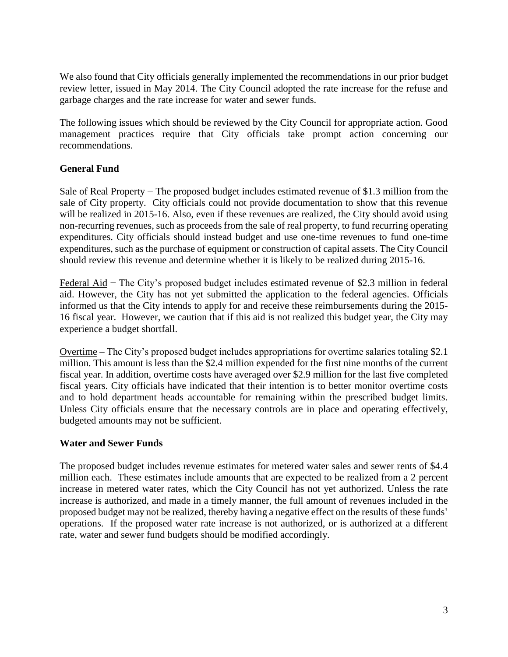We also found that City officials generally implemented the recommendations in our prior budget review letter, issued in May 2014. The City Council adopted the rate increase for the refuse and garbage charges and the rate increase for water and sewer funds.

The following issues which should be reviewed by the City Council for appropriate action. Good management practices require that City officials take prompt action concerning our recommendations.

## **General Fund**

Sale of Real Property – The proposed budget includes estimated revenue of \$1.3 million from the sale of City property. City officials could not provide documentation to show that this revenue will be realized in 2015-16. Also, even if these revenues are realized, the City should avoid using non-recurring revenues, such as proceeds from the sale of real property, to fund recurring operating expenditures. City officials should instead budget and use one-time revenues to fund one-time expenditures, such as the purchase of equipment or construction of capital assets. The City Council should review this revenue and determine whether it is likely to be realized during 2015-16.

Federal Aid − The City's proposed budget includes estimated revenue of \$2.3 million in federal aid. However, the City has not yet submitted the application to the federal agencies. Officials informed us that the City intends to apply for and receive these reimbursements during the 2015- 16 fiscal year. However, we caution that if this aid is not realized this budget year, the City may experience a budget shortfall.

Overtime – The City's proposed budget includes appropriations for overtime salaries totaling \$2.1 million. This amount is less than the \$2.4 million expended for the first nine months of the current fiscal year. In addition, overtime costs have averaged over \$2.9 million for the last five completed fiscal years. City officials have indicated that their intention is to better monitor overtime costs and to hold department heads accountable for remaining within the prescribed budget limits. Unless City officials ensure that the necessary controls are in place and operating effectively, budgeted amounts may not be sufficient.

## **Water and Sewer Funds**

The proposed budget includes revenue estimates for metered water sales and sewer rents of \$4.4 million each. These estimates include amounts that are expected to be realized from a 2 percent increase in metered water rates, which the City Council has not yet authorized. Unless the rate increase is authorized, and made in a timely manner, the full amount of revenues included in the proposed budget may not be realized, thereby having a negative effect on the results of these funds' operations. If the proposed water rate increase is not authorized, or is authorized at a different rate, water and sewer fund budgets should be modified accordingly.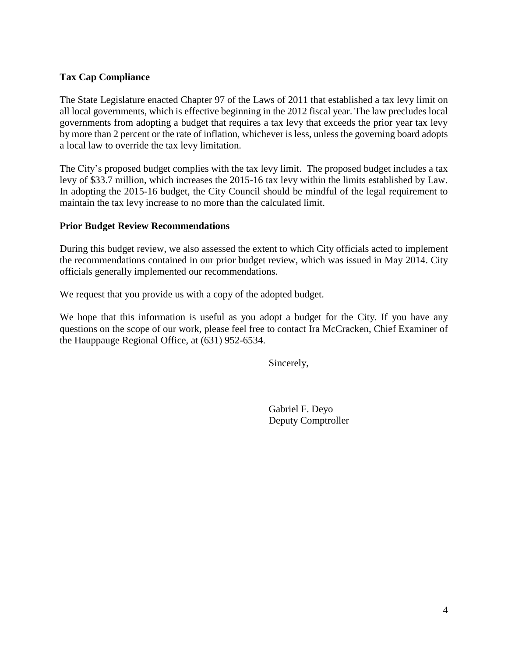## **Tax Cap Compliance**

The State Legislature enacted Chapter 97 of the Laws of 2011 that established a tax levy limit on all local governments, which is effective beginning in the 2012 fiscal year. The law precludes local governments from adopting a budget that requires a tax levy that exceeds the prior year tax levy by more than 2 percent or the rate of inflation, whichever is less, unless the governing board adopts a local law to override the tax levy limitation.

The City's proposed budget complies with the tax levy limit. The proposed budget includes a tax levy of \$33.7 million, which increases the 2015-16 tax levy within the limits established by Law. In adopting the 2015-16 budget, the City Council should be mindful of the legal requirement to maintain the tax levy increase to no more than the calculated limit.

## **Prior Budget Review Recommendations**

During this budget review, we also assessed the extent to which City officials acted to implement the recommendations contained in our prior budget review, which was issued in May 2014. City officials generally implemented our recommendations.

We request that you provide us with a copy of the adopted budget.

We hope that this information is useful as you adopt a budget for the City. If you have any questions on the scope of our work, please feel free to contact Ira McCracken, Chief Examiner of the Hauppauge Regional Office, at (631) 952-6534.

Sincerely,

Gabriel F. Deyo Deputy Comptroller